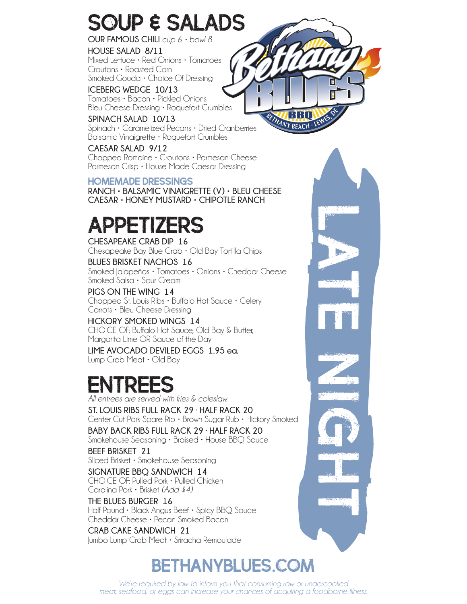## SOUP & SALADS

**OUR FAMOUS CHILI** *cup 6 • bowl 8*

**HOUSE SALAD 8/11** Mixed Lettuce • Red Onions • Tomatoes Croutons • Roasted Corn Smoked Gouda • Choice Of Dressing

**ICEBERG WEDGE 10/13** Tomatoes • Bacon • Pickled Onions Bleu Cheese Dressing • Roquefort Crumbles

**SPINACH SALAD 10/13** Spinach • Caramelized Pecans • Dried Cranberries Balsamic Vinaigrette • Roquefort Crumbles

**CAESAR SALAD 9/12** Chopped Romaine • Croutons • Parmesan Cheese Parmesan Crisp • House Made Caesar Dressing

HOMEMADE DRESSINGS

**RANCH • BALSAMIC VINAIGRETTE (V) • BLEU CHEESE CAESAR • HONEY MUSTARD • CHIPOTLE RANCH**

# Appetizers

**CHESAPEAKE CRAB DIP 16** Chesapeake Bay Blue Crab • Old Bay Tortilla Chips

**BLUES BRISKET NACHOS 16** Smoked Jalapeños • Tomatoes • Onions • Cheddar Cheese Smoked Salsa • Sour Cream

**PIGS ON THE WING 14** Chopped St. Louis Ribs • Buffalo Hot Sauce • Celery Carrots • Bleu Cheese Dressing

**HICKORY SMOKED WINGS 14** CHOICE OF; Buffalo Hot Sauce, Old Bay & Butter, Margarita Lime OR Sauce of the Day

**LIME AVOCADO DEVILED EGGS 1.95 ea.** Lump Crab Meat • Old Bay

# ENTREES<br>*All entrees are served with fries & coleslaw.*

**ST. LOUIS RIBS FULL RACK 29 · HALF RACK 20** Center Cut Pork Spare Rib • Brown Sugar Rub • Hickory Smoked

**BABY BACK RIBS FULL RACK 29 · HALF RACK 20** Smokehouse Seasoning • Braised • House BBQ Sauce

**BEEF BRISKET 21** Sliced Brisket • Smokehouse Seasoning

**SIGNATURE BBQ SANDWICH 14** CHOICE OF; Pulled Pork • Pulled Chicken Carolina Pork • Brisket *(Add \$4)*

**THE BLUES BURGER 16** Half Pound • Black Angus Beef • Spicy BBQ Sauce Cheddar Cheese • Pecan Smoked Bacon

**CRAB CAKE SANDWICH 21** Jumbo Lump Crab Meat • Sriracha Remoulade

## bethanyblues.com

*We're required by law to inform you that consuming raw or undercooked meat, seafood, or eggs can increase your chances of acquiring a foodborne illness.*



late night night night night night night night night night night night night night night night night night night night night night night night night night night night night night night night night night night night night n